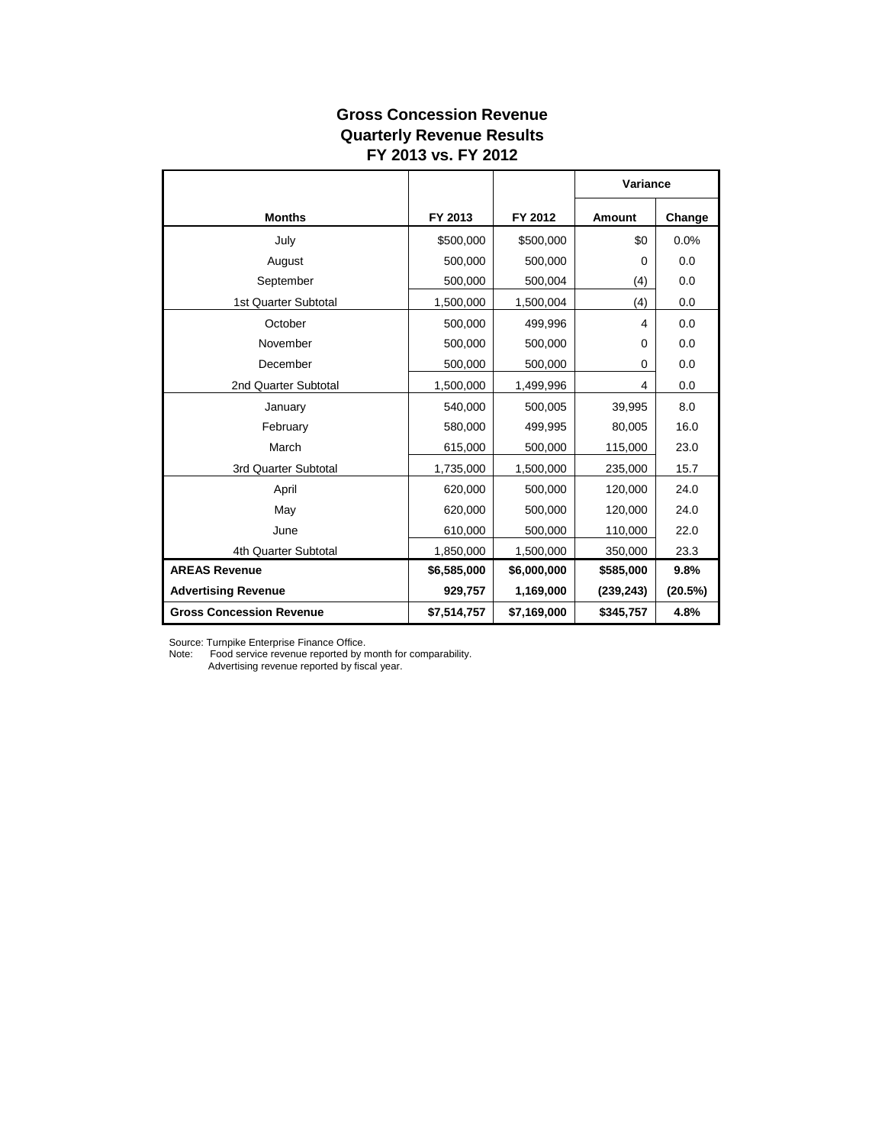## **Gross Concession Revenue Quarterly Revenue Results FY 2013 vs. FY 2012**

|                                 |             |             | Variance       |         |
|---------------------------------|-------------|-------------|----------------|---------|
| <b>Months</b>                   | FY 2013     | FY 2012     | <b>Amount</b>  | Change  |
| July                            | \$500,000   | \$500,000   | \$0            | 0.0%    |
| August                          | 500,000     | 500,000     | 0              | 0.0     |
| September                       | 500,000     | 500,004     | (4)            | 0.0     |
| 1st Quarter Subtotal            | 1,500,000   | 1,500,004   | (4)            | 0.0     |
| October                         | 500,000     | 499,996     | $\overline{4}$ | 0.0     |
| November                        | 500,000     | 500,000     | $\Omega$       | 0.0     |
| December                        | 500,000     | 500,000     | 0              | 0.0     |
| 2nd Quarter Subtotal            | 1,500,000   | 1,499,996   | 4              | 0.0     |
| January                         | 540,000     | 500,005     | 39,995         | 8.0     |
| February                        | 580,000     | 499,995     | 80,005         | 16.0    |
| March                           | 615,000     | 500,000     | 115,000        | 23.0    |
| 3rd Quarter Subtotal            | 1,735,000   | 1,500,000   | 235,000        | 15.7    |
| April                           | 620,000     | 500,000     | 120,000        | 24.0    |
| May                             | 620,000     | 500,000     | 120,000        | 24.0    |
| June                            | 610,000     | 500,000     | 110,000        | 22.0    |
| 4th Quarter Subtotal            | 1,850,000   | 1,500,000   | 350,000        | 23.3    |
| <b>AREAS Revenue</b>            | \$6,585,000 | \$6,000,000 | \$585,000      | 9.8%    |
| <b>Advertising Revenue</b>      | 929,757     | 1,169,000   | (239, 243)     | (20.5%) |
| <b>Gross Concession Revenue</b> | \$7,514,757 | \$7,169,000 | \$345,757      | 4.8%    |

Source: Turnpike Enterprise Finance Office.

Note: Food service revenue reported by month for comparability.

Advertising revenue reported by fiscal year.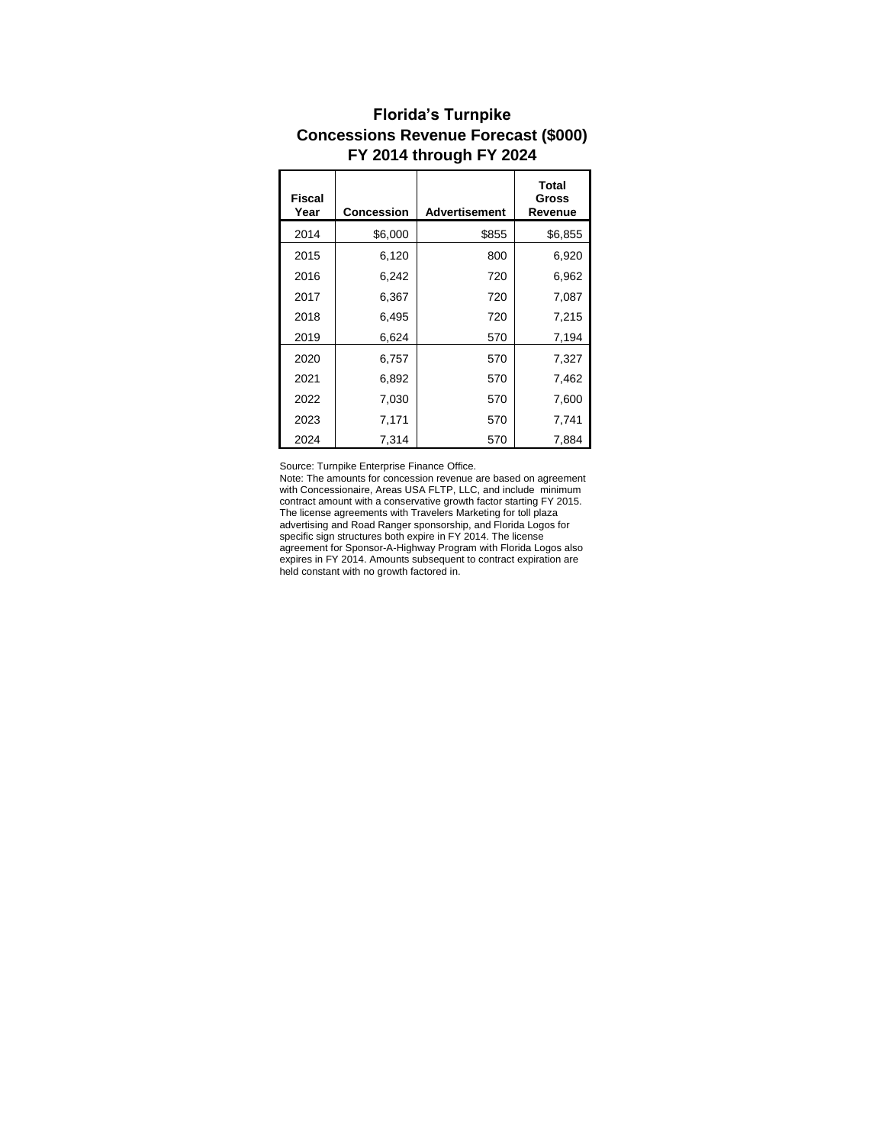| <b>Fiscal</b><br>Year | Concession | <b>Advertisement</b> | <b>Total</b><br>Gross<br>Revenue |
|-----------------------|------------|----------------------|----------------------------------|
| 2014                  | \$6,000    | \$855                | \$6,855                          |
| 2015                  | 6,120      | 800                  | 6,920                            |
| 2016                  | 6,242      | 720                  | 6,962                            |
| 2017                  | 6,367      | 720                  | 7,087                            |
| 2018                  | 6,495      | 720                  | 7,215                            |
| 2019                  | 6,624      | 570                  | 7,194                            |
| 2020                  | 6,757      | 570                  | 7,327                            |
| 2021                  | 6,892      | 570                  | 7,462                            |
| 2022                  | 7,030      | 570                  | 7,600                            |
| 2023                  | 7,171      | 570                  | 7,741                            |
| 2024                  | 7.314      | 570                  | 7,884                            |

## **Florida's Turnpike Concessions Revenue Forecast (\$000) FY 2014 through FY 2024**

Source: Turnpike Enterprise Finance Office.

Note: The amounts for concession revenue are based on agreement with Concessionaire, Areas USA FLTP, LLC, and include minimum contract amount with a conservative growth factor starting FY 2015. The license agreements with Travelers Marketing for toll plaza advertising and Road Ranger sponsorship, and Florida Logos for specific sign structures both expire in FY 2014. The license agreement for Sponsor-A-Highway Program with Florida Logos also expires in FY 2014. Amounts subsequent to contract expiration are held constant with no growth factored in.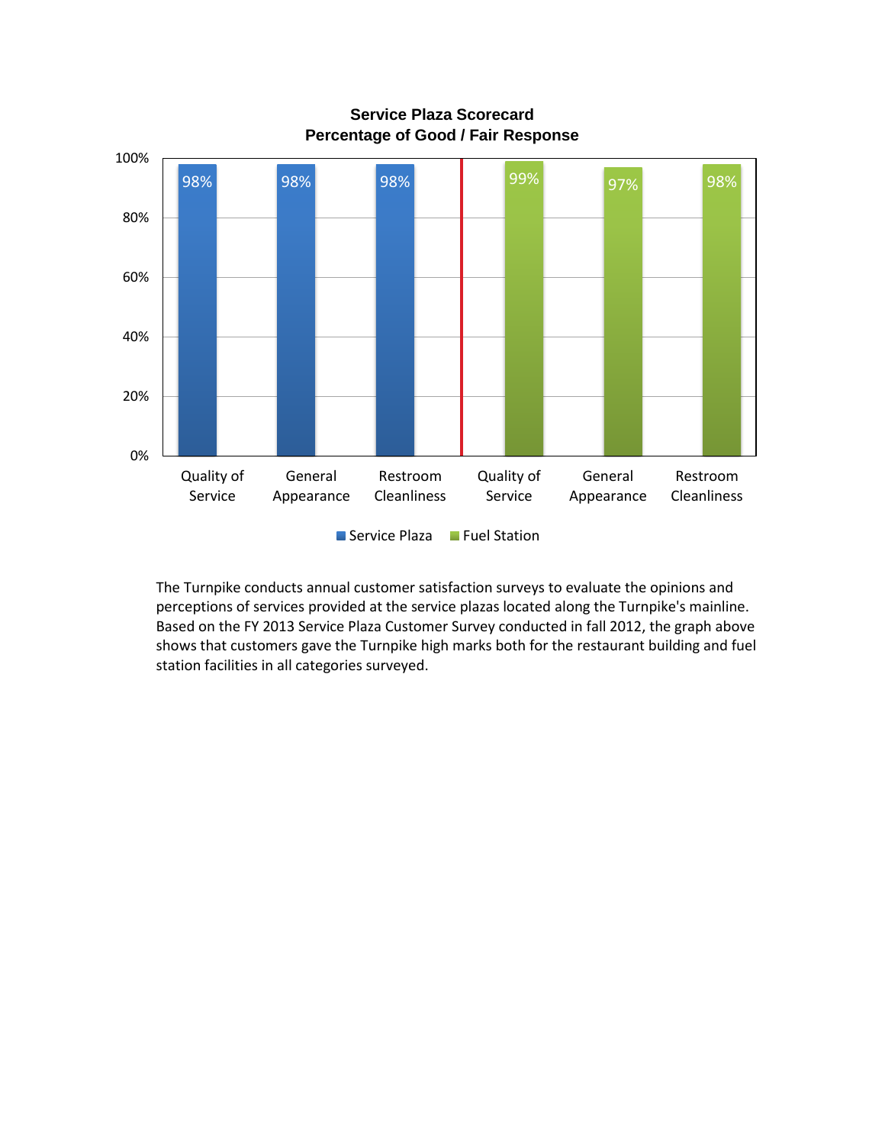

**Service Plaza Scorecard Percentage of Good / Fair Response**

The Turnpike conducts annual customer satisfaction surveys to evaluate the opinions and perceptions of services provided at the service plazas located along the Turnpike's mainline. Based on the FY 2013 Service Plaza Customer Survey conducted in fall 2012, the graph above shows that customers gave the Turnpike high marks both for the restaurant building and fuel station facilities in all categories surveyed.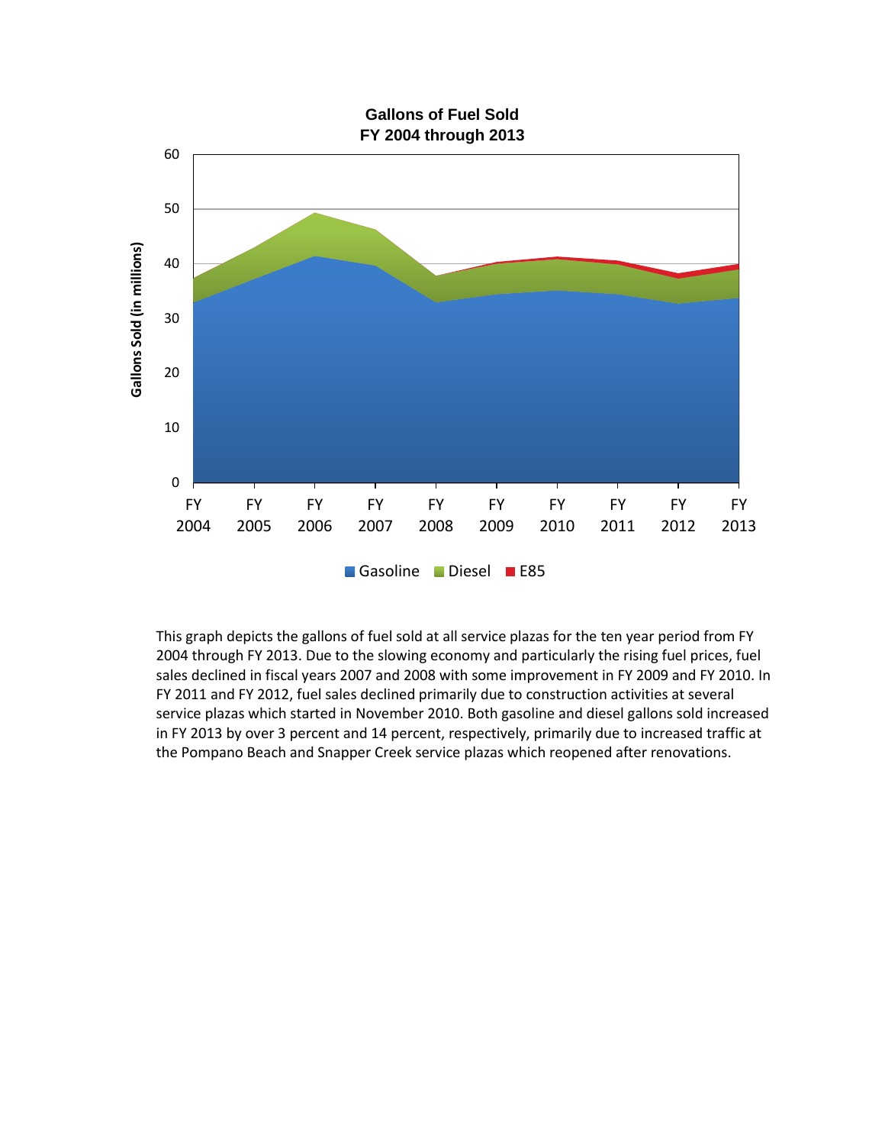

This graph depicts the gallons of fuel sold at all service plazas for the ten year period from FY 2004 through FY 2013. Due to the slowing economy and particularly the rising fuel prices, fuel sales declined in fiscal years 2007 and 2008 with some improvement in FY 2009 and FY 2010. In FY 2011 and FY 2012, fuel sales declined primarily due to construction activities at several service plazas which started in November 2010. Both gasoline and diesel gallons sold increased in FY 2013 by over 3 percent and 14 percent, respectively, primarily due to increased traffic at the Pompano Beach and Snapper Creek service plazas which reopened after renovations.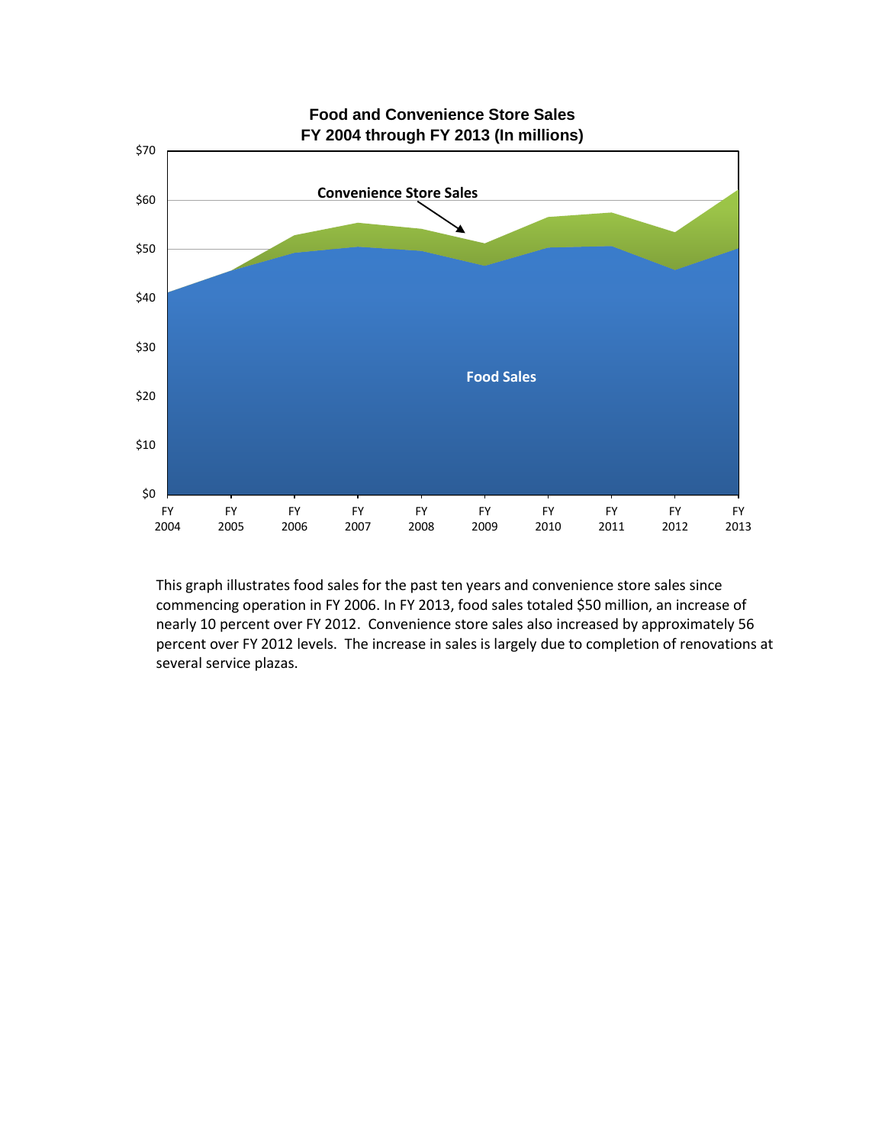

This graph illustrates food sales for the past ten years and convenience store sales since commencing operation in FY 2006. In FY 2013, food sales totaled \$50 million, an increase of nearly 10 percent over FY 2012. Convenience store sales also increased by approximately 56 percent over FY 2012 levels. The increase in sales is largely due to completion of renovations at several service plazas.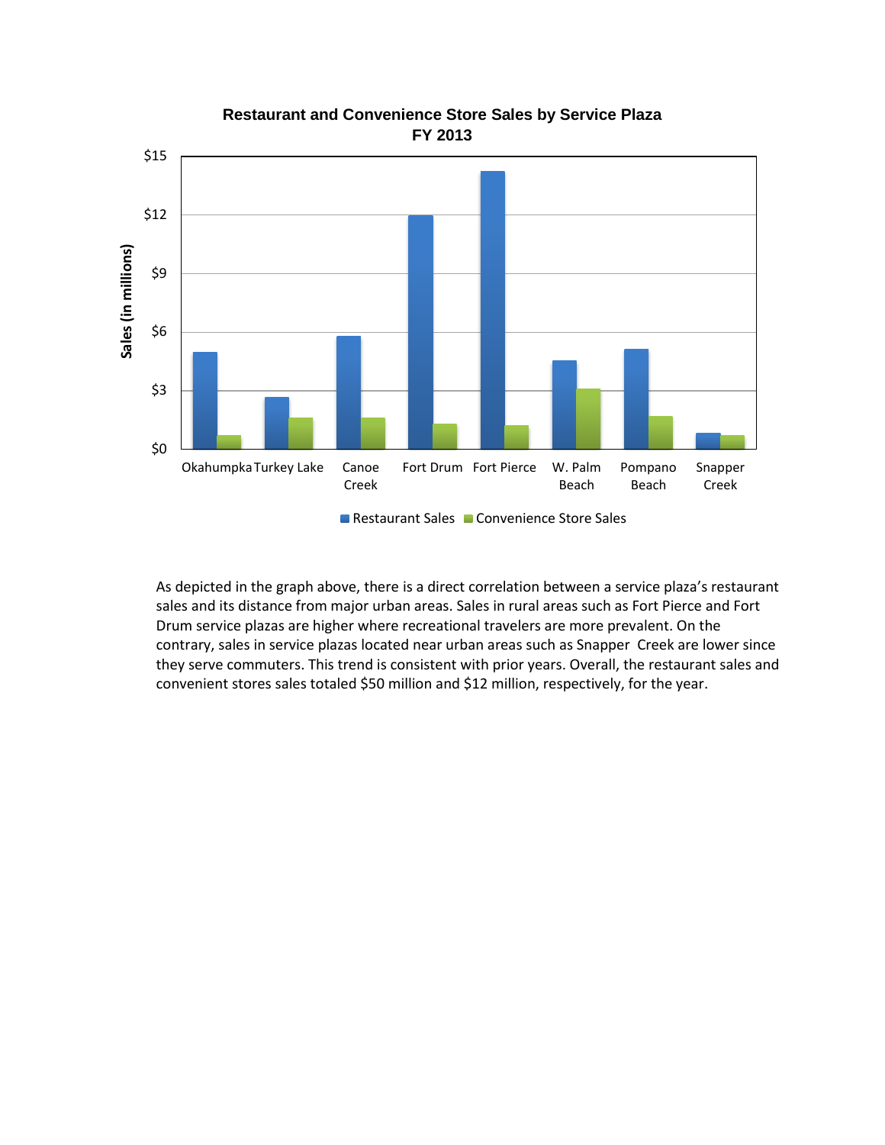

## **Restaurant and Convenience Store Sales by Service Plaza FY 2013**

Restaurant Sales Convenience Store Sales

As depicted in the graph above, there is a direct correlation between a service plaza's restaurant sales and its distance from major urban areas. Sales in rural areas such as Fort Pierce and Fort Drum service plazas are higher where recreational travelers are more prevalent. On the contrary, sales in service plazas located near urban areas such as Snapper Creek are lower since they serve commuters. This trend is consistent with prior years. Overall, the restaurant sales and convenient stores sales totaled \$50 million and \$12 million, respectively, for the year.